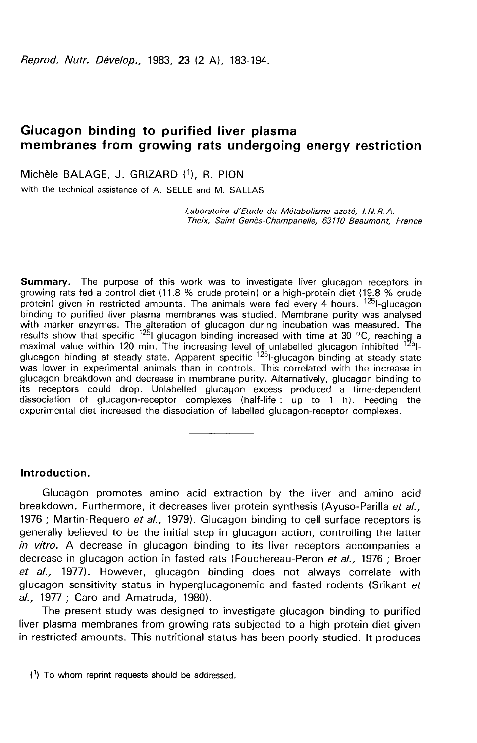Reprod. Nutr. Dévelop., 1983, 23 (2 A), 183-194.

# Glucagon binding to purified liver plasma membranes from growing rats undergoing energy restriction

Michèle BALAGE, J. GRIZARD (1), R. PION

with the technical assistance of A. SELLE and M. SALLAS

Laboratoire d'Etude du Métabolisme azoté, 1. N. R.A. Theix, Saint-Genès-Champanelle, 63110 Beaumont, France

Summary. The purpose of this work was to investigate liver glucagon receptors in growing rats fed a control diet (11.8 % crude protein) or a high-protein diet (19.8 % crude protein) given in restricted amounts. The animals were fed every 4 hours. <sup>125</sup>1-glucagon binding to purified liver plasma membranes was studied. Membrane purity was analysed with marker enzymes. The alteration of glucagon during incubation was measured. The results show that specific <sup>125</sup>l-glucagon binding increased with time at 30 °C, reaching a results show that specific <sup>125</sup>l-glucagon binding increased with time at 30 °C, reaching a<br>maximal value within 120 min. The increasing level of unlabelled glucagon inhibited <sup>125</sup>l-<br>glucagon binding at steady state. Appa glucagon breakdown and decrease in membrane purity. Alternatively, glucagon binding to its receptors could drop. Unlabelled glucagon excess produced a time-dependent dissociation of glucagon-receptor complexes (half-life : up to 1 h). Feeding the experimental diet increased the dissociation of labelled glucagon-receptor complexes.

### Introduction.

Glucagon promotes amino acid extraction by the liver and amino acid breakdown. Furthermore, it decreases liver protein synthesis (Ayuso-Parilla et al., 1976 ; Martin-Requero et al., 1979). Glucagon binding to cell surface receptors is generally believed to be the initial step in glucagon action, controlling the latter in vitro. A decrease in glucagon binding to its liver receptors accompanies a decrease in glucagon action in fasted rats (Fouchereau-Peron et al., 1976 ; Broer et al., 1977). However, glucagon binding does not always correlate with glucagon sensitivity status in hyperglucagonemic and fasted rodents (Srikant et al., 1977 ; Caro and Amatruda, 1980).

The present study was designed to investigate glucagon binding to purified liver plasma membranes from growing rats subjected to a high protein diet given in restricted amounts. This nutritional status has been poorly studied. It produces

 $(1)$  To whom reprint requests should be addressed.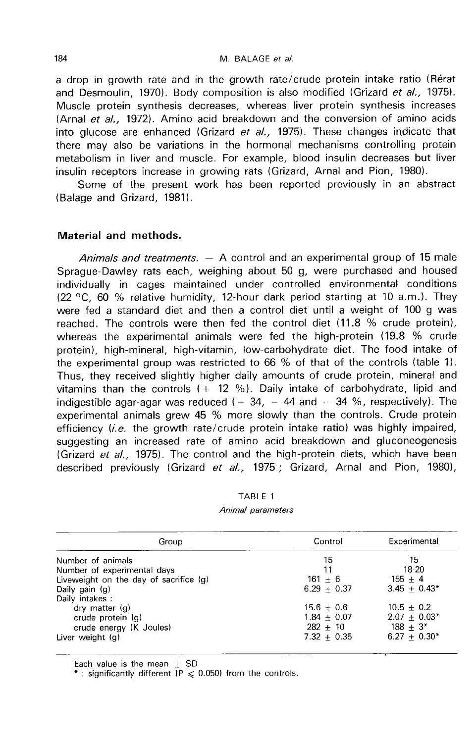a drop in growth rate and in the growth rate/crude protein intake ratio (Rérat and Desmoulin, 1970). Body composition is also modified (Grizard et al., 1975). Muscle protein synthesis decreases, whereas liver protein synthesis increases (Arnal et al., 1972). Amino acid breakdown and the conversion of amino acids into glucose are enhanced (Grizard et  $al, 1975$ ). These changes indicate that there may also be variations in the hormonal mechanisms controlling protein metabolism in liver and muscle. For example, blood insulin decreases but liver insulin receptors increase in growing rats (Grizard, Arnal and Pion, 1980).

Some of the present work has been reported previously in an abstract (Balage and Grizard, 1981).

## Material and methods.

Animals and treatments.  $-$  A control and an experimental group of 15 male Sprague-Dawley rats each, weighing about 50 g, were purchased and housed individually in cages maintained under controlled environmental conditions (22 °C, 60 % relative humidity, 12-hour dark period starting at 10 a.m.). They were fed a standard diet and then a control diet until a weight of 100 g was reached. The controls were then fed the control diet (11.8 % crude protein), whereas the experimental animals were fed the high-protein (19.8 % crude protein), high-mineral, high-vitamin, low-carbohydrate diet. The food intake of the experimental group was restricted to  $66%$  of that of the controls (table 1). Thus, they received slightly higher daily amounts of crude protein, mineral and vitamins than the controls  $(+ 12, %)$ . Daily intake of carbohydrate, lipid and indigestible agar-agar was reduced ( $-34$ ,  $-44$  and  $-34$  %, respectively). The experimental animals grew 45 % more slowly than the controls. Crude protein efficiency  $(i.e.$  the growth rate/crude protein intake ratio) was highly impaired, suggesting an increased rate of amino acid breakdown and gluconeogenesis (Grizard et al., 1975). The control and the high-protein diets, which have been described previously (Grizard et al., 1975; Grizard, Arnal and Pion, 1980),

### TABLE 1 Animal parameters

| Group                                  | Control       | Experimental   |
|----------------------------------------|---------------|----------------|
| Number of animals                      | 15            | 15             |
| Number of experimental days            | 11            | 18-20          |
| Liveweight on the day of sacrifice (g) | $161 + 6$     | $155 + 4$      |
| Daily gain (g)                         | $6.29 + 0.37$ | $3.45 + 0.43*$ |
| Daily intakes:                         |               |                |
| $\frac{dy}{dx}$ matter $\frac{dy}{dx}$ | $15.6 + 0.6$  | $10.5 + 0.2$   |
| crude protein $(q)$                    | $1.84 + 0.07$ | $2.07 + 0.03*$ |
| crude energy (K Joules)                | $282 + 10$    | $188 + 3*$     |
| Liver weight (g)                       | $7.32 + 0.35$ | $6.27 + 0.30*$ |

Each value is the mean  $\pm$  SD

\*: significantly different ( $P \le 0.050$ ) from the controls.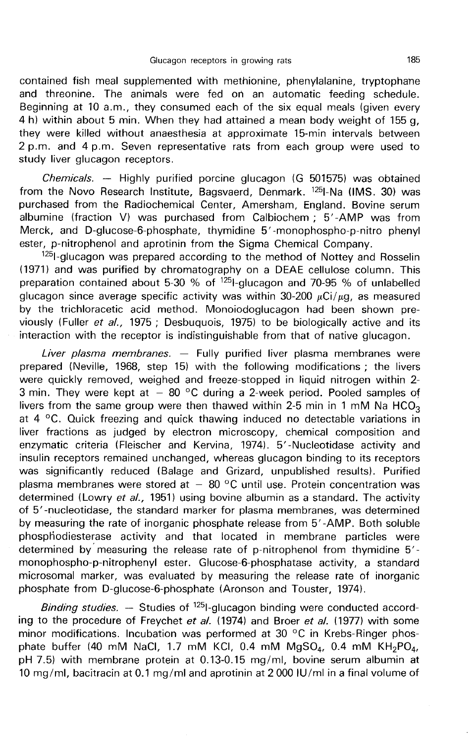contained fish meal supplemented with methionine, phenylalanine, tryptophane and threonine. The animals were fed on an automatic feeding schedule. Beginning at 10 a.m., they consumed each of the six equal meals (given every 4 h) within about 5 min. When they had attained a mean body weight of 155 g, they were killed without anaesthesia at approximate 15-min intervals between 2 p.m. and 4 p.m. Seven representative rats from each group were used to study liver glucagon receptors.

*Chemicals.* — Highly purified porcine glucagon (G 501575) was obtained from the Novo Research Institute, Bagsvaerd, Denmark. <sup>125</sup>I-Na (IMS. 30) was purchased from the Radiochemical Center, Amersham, England. Bovine serum albumine (fraction V) was purchased from Calbiochem ; 5'-AMP was from Merck, and D-glucose-6-phosphate, thymidine 5'-monophospho-p-nitro phenyl

ester, p-nitrophenol and aprotinin from the Sigma Chemical Company.<br><sup>125</sup> glucagon was prepared according to the method of Nottey and Rosselin<br>(1971) and was purified by epreparate respues and PEAE sellulese selume. This (1971) and was purified by chromatography on a DEAE cellulose column. This preparation contained about 5-30 % of  $^{125}$ I-glucagon and 70-95 % of unlabelled glucagon since average specific activity was within 30-200  $\mu$ Ci/ $\mu$ g, as measured by the trichloracetic acid method. Monoiodoglucagon had been shown previously (Fuller et al., 1975 ; Desbuquois, 1975) to be biologically active and its interaction with the receptor is indistinguishable from that of native glucagon.

Liver plasma membranes.  $-$  Fully purified liver plasma membranes were prepared (Neville, 1968, step 15) with the following modifications ; the livers were quickly removed, weighed and freeze-stopped in liquid nitrogen within 2- 3 min. They were kept at  $-$  80  $^{\circ}$ C during a 2-week period. Pooled samples of were quickly removed, weighed and treeze-stopped in liquid nitrogen within 2-3 min. They were kept at  $-$  80 °C during a 2-week period. Pooled samples of livers from the same group were then thawed within 2-5 min in 1 mM at 4 °C. Quick freezing and quick thawing induced no detectable variations in liver fractions as judged by electron microscopy, chemical composition and enzymatic criteria (Fleischer and Kervina, 1974). 5'-Nucleotidase activity and insulin receptors remained unchanged, whereas glucagon binding to its receptors was significantly reduced (Balage and Grizard, unpublished results). Purified plasma membranes were stored at  $-80$  °C until use. Protein concentration was determined (Lowry et al., 1951) using bovine albumin as a standard. The activity of 5'-nucleotidase, the standard marker for plasma membranes, was determined by measuring the rate of inorganic phosphate release from 5'-AMP. Both soluble phospliodiesterase activity and that located in membrane particles were determined by measuring the release rate of p-nitrophenol from thymidine 5'monophospho-p-nitrophenyl ester. Glucose-6-phosphatase activity, a standard microsomal marker, was evaluated by measuring the release rate of inorganic phosphate from D-glucose-6-phosphate (Aronson and Touster, 1974).

Binding studies.  $-$  Studies of  $125$ -glucagon binding were conducted according to the procedure of Freychet et al. (1974) and Broer et al. (1977) with some minor modifications. Incubation was performed at 30 °C in Krebs-Ringer phos-<br>phate buffer (40 mM NaCl, 1.7 mM KCl, 0.4 mM MgSO<sub>4</sub>, 0.4 mM KH<sub>2</sub>PO<sub>4</sub>, pH 7.5) with membrane protein at 0.13-0.15 mg/ml, bovine serum albumin at 10 mg/ml, bacitracin at 0.1 mg/ml and aprotinin at 2 000 IU/ml in a final volume of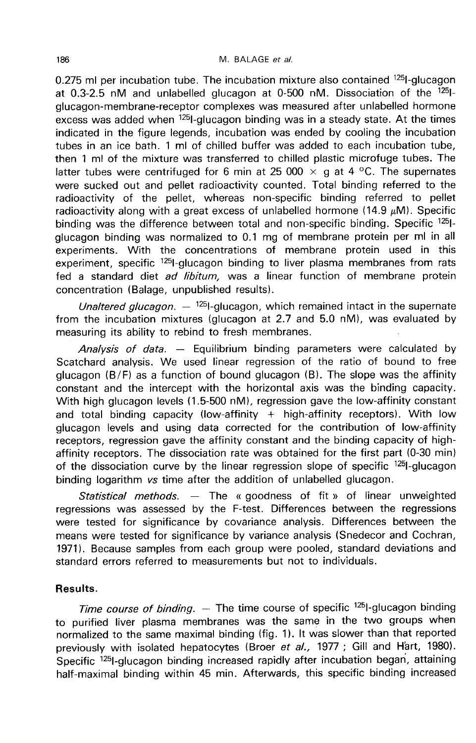0.275 ml per incubation tube. The incubation mixture also contained  $^{125}$ I-glucagon at 0.3-2.5 nM and unlabelled glucagon at 0-500 nM. Dissociation of the  $^{125}$ Iglucagon-membrane-receptor complexes was measured after unlabelled hormone  $excess$  was added when  $1251$ -glucagon binding was in a steady state. At the times indicated in the figure legends, incubation was ended by cooling the incubation tubes in an ice bath. 1 ml of chilled buffer was added to each incubation tube, then 1 ml of the mixture was transferred to chilled plastic microfuge tubes. The latter tubes were centrifuged for 6 min at 25 000  $\times$  g at 4 °C. The supernates were sucked out and pellet radioactivity counted. Total binding referred to the radioactivity of the pellet, whereas non-specific binding referred to pellet radioactivity along with a great excess of unlabelled hormone (14.9  $\mu$ M). Specific binding was the difference between total and non-specific binding. Specific <sup>125</sup>1glucagon binding was normalized to 0.1 mg of membrane protein per ml in all experiments. With the concentrations of membrane protein used in this experiment, specific <sup>125</sup>-glucagon binding to liver plasma membranes from rats fed a standard diet ad libitum, was a linear function of membrane protein concentration (Balage, unpublished results).

Unaltered glucagon.  $-$  <sup>125</sup>1-glucagon, which remained intact in the supernate from the incubation mixtures (glucagon at 2.7 and 5.0 nM), was evaluated by measuring its ability to rebind to fresh membranes.

Analysis of data.  $-$  Equilibrium binding parameters were calculated by Scatchard analysis. We used linear regression of the ratio of bound to free glucagon  $(B/F)$  as a function of bound glucagon  $(B)$ . The slope was the affinity constant and the intercept with the horizontal axis was the binding capacity. With high glucagon levels (1.5-500 nM), regression gave the low-affinity constant and total binding capacity (low-affinity  $+$  high-affinity receptors). With low glucagon levels and using data corrected for the contribution of low-affinity receptors, regression gave the affinity constant and the binding capacity of highaffinity receptors. The dissociation rate was obtained for the first part (0-30 min) of the dissociation curve by the linear regression slope of specific <sup>125</sup>l-glucagon binding logarithm vs time after the addition of unlabelled glucagon.

Statistical methods.  $-$  The « goodness of fit » of linear unweighted regressions was assessed by the F-test. Differences between the regressions were tested for significance by covariance analysis. Differences between the means were tested for significance by variance analysis (Snedecor and Cochran, 1971). Because samples from each group were pooled, standard deviations and standard errors referred to measurements but not to individuals.

## Results.

Time course of binding.  $-$  The time course of specific  $^{125}$ I-glucagon binding to purified liver plasma membranes was the same in the two groups when normalized to the same maximal binding (fig. 1). It was slower than that reported previously with isolated hepatocytes (Broer et al., 1977 ; Gill and H'art, 1980). Specific <sup>125</sup>l-glucagon binding increased rapidly after incubation began, attaining half-maximal binding within 45 min. Afterwards, this specific binding increased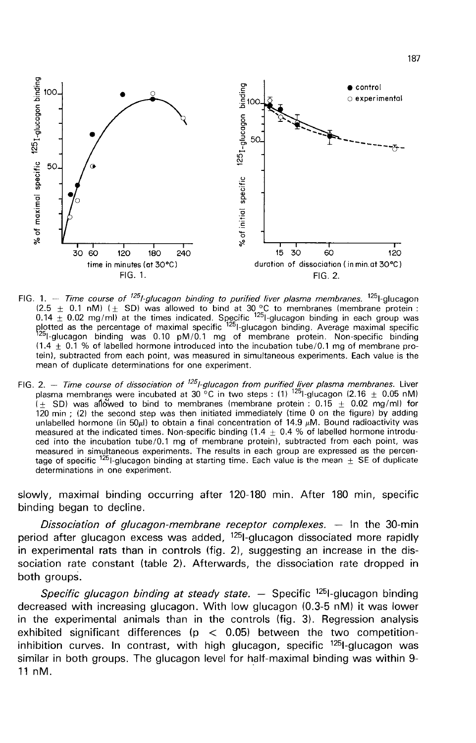

- FIG. 1. Time course of <sup>125</sup>l-glucagon binding to purified liver plasma membranes. <sup>125</sup>l-glucagon 1.  $-$  *i me* course or *i*-guicagon binany to purine twee pasma membranes. The course of the 1.1 nM) ( $\pm$  SD) was allowed to bind at 30 °C to membranes (membrane protein :<br>0.14  $\pm$  0.02 mg/ml) at the times indicated.  $(1.4 \pm 0.1)$  % of labelled hormone introduced into the incubation tube/0.1 mg of membrane protein), subtracted from each point, was measured in simultaneous experiments. Each value is the mean of duplicate determinations for one experiment.
- FIG. 2. Time course of dissociation of <sup>125</sup>l-glucagon from purified liver plasma membranes. Liver plasma membranes were incubated at 30 °C in two steps : (1) <sup>125</sup>l-glucagon (2.16  $\pm$  0.05 nM)  $(+$  SD) was allowed to bind to membranes (membrane protein : 0.15 + 0.02 mg/ml) for  $120 \text{ min}$ ; (2) the second step was then initiated immediately (time 0 on the figure) by adding<br>unlabelled hormone (in 50 $\mu$ ) to obtain a final concentration of 14.9  $\mu$ M. Bound radioactivity was measured at the indicated times. Non-specific binding (1.4  $\pm$  0.4 % of labelled hormone introduced into the incubation tube/0.1 mg of membrane protein), subtracted from each point, was measured in simultaneous experiments. The results in each group are expressed as the percentage of specific  $1251$ -glucagon binding at starting time. Each value is the mean  $\pm$  SE of duplicate determinations in one experiment.

slowly, maximal binding occurring after 120-180 min. After 180 min, specific binding began to decline.

Dissociation of glucagon-membrane receptor complexes.  $-$  In the 30-min period after glucagon excess was added, <sup>125</sup>l-glucagon dissociated more rapidly in experimental rats than in controls (fig. 2), suggesting an increase in the dissociation rate constant (table 2). Afterwards, the dissociation rate dropped in both groups.

Specific glucagon binding at steady state.  $-$  Specific <sup>125</sup>l-glucagon binding decreased with increasing glucagon. With low glucagon (0.3-5 nM) it was lower in the experimental animals than in the controls (fig. 3). Regression analysis exhibited significant differences ( $p < 0.05$ ) between the two competitioninhibition curves. In contrast, with high glucagon, specific  $1251$ -glucagon was similar in both groups. The glucagon level for half-maximal binding was within 9- 11 nM.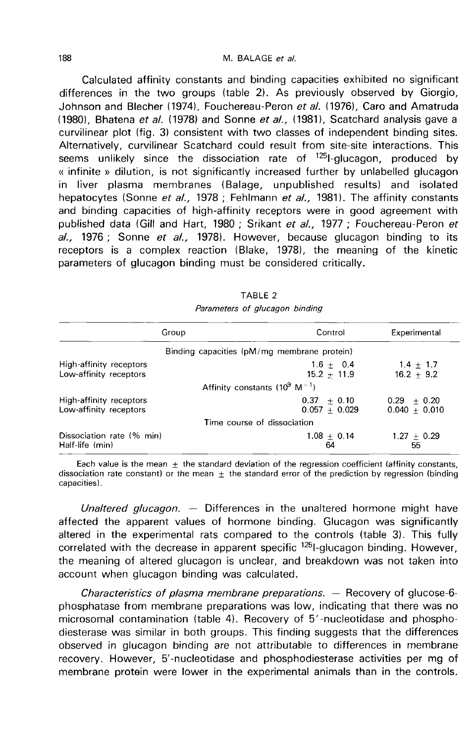Calculated affinity constants and binding capacities exhibited no significant differences in the two groups (table 2). As previously observed by Giorgio, Johnson and Blecher (1974), Fouchereau-Peron et al. (1976), Caro and Amatruda (1980), Bhatena et al. (1978) and Sonne et al., (1981), Scatchard analysis gave a curvilinear plot (fig. 3) consistent with two classes of independent binding sites. Alternatively, curvilinear Scatchard could result from site-site interactions. This seems unlikely since the dissociation rate of  $^{125}$ -glucagon, produced by « infinite » dilution, is not significantly increased further by unlabelled glucagon in liver plasma membranes (Balage, unpublished results) and isolated hepatocytes (Sonne et al., 1978 ; Fehlmann et al., 1981). The affinity constants and binding capacities of high-affinity receptors were in good agreement with published data (Gill and Hart, 1980 ; Srikant et al., 1977 ; Fouchereau-Peron et  $al.$ , 1976; Sonne et  $al.$ , 1978). However, because glucagon binding to its receptors is a complex reaction (Blake, 1978), the meaning of the kinetic parameters of glucagon binding must be considered critically.

| Group                     | Control                                       | Experimental    |
|---------------------------|-----------------------------------------------|-----------------|
|                           | Binding capacities (pM/mg membrane protein)   |                 |
| High-affinity receptors   | $1.6 + 0.4$                                   | $1.4 + 1.7$     |
| Low-affinity receptors    | $15.2 + 11.9$                                 | $16.2 + 9.2$    |
|                           | Affinity constants ( $10^9$ M <sup>-1</sup> ) |                 |
| High-affinity receptors   | $0.37 + 0.10$                                 | $0.29 + 0.20$   |
| Low-affinity receptors    | $0.057 + 0.029$                               | $0.040 + 0.010$ |
|                           | Time course of dissociation                   |                 |
| Dissociation rate (% min) | $1.08 + 0.14$                                 | $1.27 \pm 0.29$ |
| Half-life (min)           | 64                                            | 55              |

TABLE<sub>2</sub> Parameters of glucagon binding

Each value is the mean  $\pm$  the standard deviation of the regression coefficient (affinity constants, dissociation rate constant) or the mean  $\pm$  the standard error of the prediction by regression (binding capacities).

Unaltered glucagon.  $-$  Differences in the unaltered hormone might have affected the apparent values of hormone binding. Glucagon was significantly altered in the experimental rats compared to the controls (table 3). This fully correlated with the decrease in apparent specific <sup>125</sup>l-glucagon binding. However, the meaning of altered glucagon is unclear, and breakdown was not taken into account when glucagon binding was calculated.

Characteristics of plasma membrane preparations. ― Recovery of glucose-6 phosphatase from membrane preparations was low, indicating that there was no microsomal contamination (table 4). Recovery of 5'-nucleotidase and phosphodiesterase was similar in both groups. This finding suggests that the differences observed in glucagon binding are not attributable to differences in membrane recovery. However, 5'-nucleotidase and phosphodiesterase activities per mg of membrane protein were lower in the experimental animals than in the controls.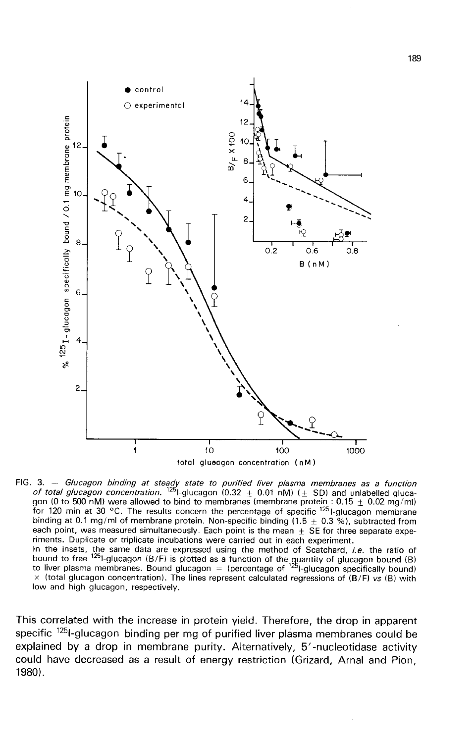

FIG. 3. - Glucagon binding at steady state to purified liver plasma membranes as a function of total glucagon concentration. <sup>125</sup>l-glucagon  $(0.32 \pm 0.01 \text{ nM})$  ( $\pm$  SD) and unlabelled glucagon (0 to 500 nM) were allowed to bind to membranes (membrane protein:  $0.15 \pm 0.02$  mg/ml) for 120 min at 30 °C. The results concern the percentage of specific  $125$  I-glucagon membrane binding at 0.1 mg/ml of membrane protein. Non-specific binding (1.5  $\pm$  0.3 %), subtracted from each point, was measured simultaneously. Each point is the mean  $\pm$  SE for three separate experiments. Duplicate or triplicate incubations were carried out in each experiment.

Finite insets, the same data are expressed using the method of Scatchard, *i.e.* the ratio of<br>bound to free <sup>125</sup>l-glucagon (B/F) is plotted as a function of the quantity of glucagon bound (B)<br>to liver plasma membranes. B  $\times$  (total glucagon concentration). The lines represent calculated regressions of (B/F) vs (B) with low and high glucagon, respectively.

This correlated with the increase in protein yield. Therefore, the drop in apparent specific <sup>125</sup>1-glucagon binding per mg of purified liver plasma membranes could be explained by a drop in membrane purity. Alternatively, 5'-nucleotidase activity could have decreased as a result of energy restriction (Grizard, Arnal and Pion, 1980) .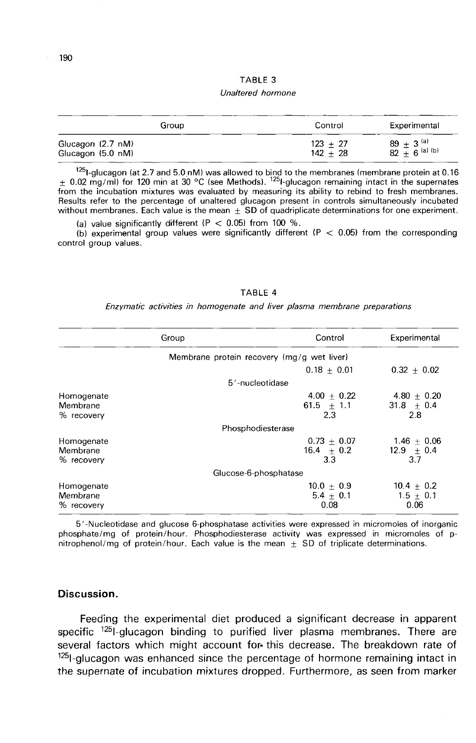#### TABLE 3

#### Unaltered hormone

| Group             | Control    | Experimental              |
|-------------------|------------|---------------------------|
| Glucagon (2.7 nM) | $123 + 27$ | 89 $\pm$ 3 <sup>(a)</sup> |
| Glucagon (5.0 nM) | $142 + 28$ | $82 + 6$ (a) (b)          |

<sup>125</sup>l-glucagon (at 2.7 and 5.0 nM) was allowed to bind to the membranes (membrane protein at 0.16 ± 0.02 mg/ml) for 120 min at 30 °C (see Methods). <sup>125</sup>l-glucagon remaining intact in the supernates from the incubation mixtures was evaluated by measuring its ability to rebind to fresh membranes. Results refer to the percentage of unaltered glucagon present in controls simultaneously incubated without membranes. Each value is the mean  $\pm$  SD of quadriplicate determinations for one experiment.

(a) value significantly different (P  $<$  0.05) from 100 %.

(b) experimental group values were significantly different ( $P < 0.05$ ) from the corresponding control group values.

#### TABLE 4

Enzymatic activities in homogenate and liver plasma membrane preparations

|                                            | Group | Control                                | Experimental                            |  |
|--------------------------------------------|-------|----------------------------------------|-----------------------------------------|--|
| Membrane protein recovery (mg/g wet liver) |       |                                        |                                         |  |
|                                            |       | $0.18 + 0.01$                          | $0.32 + 0.02$                           |  |
|                                            |       | 5'-nucleotidase                        |                                         |  |
| Homogenate<br>Membrane<br>% recovery       |       | $4.00 + 0.22$<br>61.5 $\pm$ 1.1<br>2.3 | $4.80 + 0.20$<br>31.8 $\pm$ 0.4<br>2.8  |  |
|                                            |       | Phosphodiesterase                      |                                         |  |
| Homogenate<br>Membrane<br>% recovery       |       | $0.73 + 0.07$<br>$16.4 \pm 0.2$<br>3.3 | $1.46 + 0.06$<br>$12.9 \pm 0.4$<br>3.7  |  |
|                                            |       | Glucose-6-phosphatase                  |                                         |  |
| Homogenate<br>Membrane<br>% recovery       |       | $10.0 + 0.9$<br>5.4 $\pm$ 0.1<br>0.08  | $10.4 \pm 0.2$<br>$1.5 \pm 0.1$<br>0.06 |  |

5'-Nucleotidase and glucose 6-phosphatase activities were expressed in micromoles of inorganic phosphate/mg of protein/hour. Phosphodiesterase activity was expressed in micromoles of pnitrophenol/mg of protein/hour. Each value is the mean  $\pm$  SD of triplicate determinations.

### Discussion.

Feeding the experimental diet produced a significant decrease in apparent specific  $^{125}$ -glucagon binding to purified liver plasma membranes. There are several factors which might account for· this decrease. The breakdown rate of  $125$ |-glucagon was enhanced since the percentage of hormone remaining intact in the supernate of incubation mixtures dropped. Furthermore, as seen from marker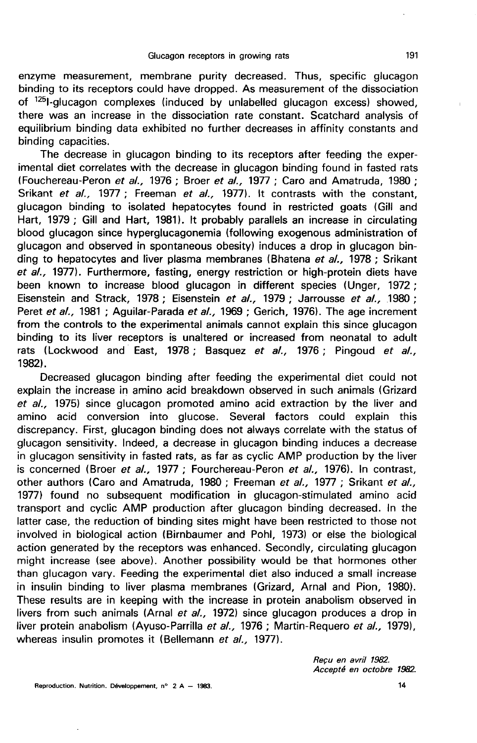enzyme measurement, membrane purity decreased. Thus, specific glucagon binding to its receptors could have dropped. As measurement of the dissociation of <sup>125</sup>1-glucagon complexes (induced by unlabelled glucagon excess) showed, there was an increase in the dissociation rate constant. Scatchard analysis of equilibrium binding data exhibited no further decreases in affinity constants and binding capacities.

The decrease in glucagon binding to its receptors after feeding the experimental diet correlates with the decrease in glucagon binding found in fasted rats (Fouchereau-Peron et al., 1976 ; Broer et al., 1977 ; Caro and Amatruda, 1980 ; Srikant et al., 1977 ; Freeman et al., 1977). It contrasts with the constant, glucagon binding to isolated hepatocytes found in restricted goats (Gill and Hart, 1979 ; Gill and Hart, 1981). It probably parallels an increase in circulating blood glucagon since hyperglucagonemia (following exogenous administration of glucagon and observed in spontaneous obesity) induces a drop in glucagon binding to hepatocytes and liver plasma membranes (Bhatena et al., 1978 ; Srikant et al., 1977). Furthermore, fasting, energy restriction or high-protein diets have been known to increase blood glucagon in different species (Unger, 1972 ; Eisenstein and Strack, 1978 ; Eisenstein et al., 1979 ; Jarrousse et al., 1980 ; Peret et al., 1981 ; Aguilar-Parada et al., 1969 ; Gerich, 1976). The age increment from the controls to the experimental animals cannot explain this since glucagon binding to its liver receptors is unaltered or increased from neonatal to adult rats (Lockwood and East, 1978; Basquez et al., 1976; Pingoud et al., 1982).

Decreased glucagon binding after feeding the experimental diet could not explain the increase in amino acid breakdown observed in such animals (Grizard et al., 1975) since glucagon promoted amino acid extraction by the liver and amino acid conversion into glucose. Several factors could explain this discrepancy. First, glucagon binding does not always correlate with the status of glucagon sensitivity. Indeed, a decrease in glucagon binding induces a decrease in glucagon sensitivity in fasted rats, as far as cyclic AMP production by the liver is concerned (Broer et al., 1977 ; Fourchereau-Peron et al., 1976). In contrast, other authors (Caro and Amatruda, 1980 ; Freeman et al., 1977 ; Srikant et al., 1977) found no subsequent modification in glucagon-stimulated amino acid transport and cyclic AMP production after glucagon binding decreased. In the latter case, the reduction of binding sites might have been restricted to those not involved in biological action (Birnbaumer and Pohl, 1973) or else the biological action generated by the receptors was enhanced. Secondly, circulating glucagon might increase (see above). Another possibility would be that hormones other than glucagon vary. Feeding the experimental diet also induced a small increase in insulin binding to liver plasma membranes (Grizard, Arnal and Pion, 1980). These results are in keeping with the increase in protein anabolism observed in livers from such animals (Arnal et al., 1972) since glucagon produces a drop in liver protein anabolism (Ayuso-Parrilla et al., 1976 ; Martin-Requero et al., 1979), whereas insulin promotes it (Bellemann et al., 1977).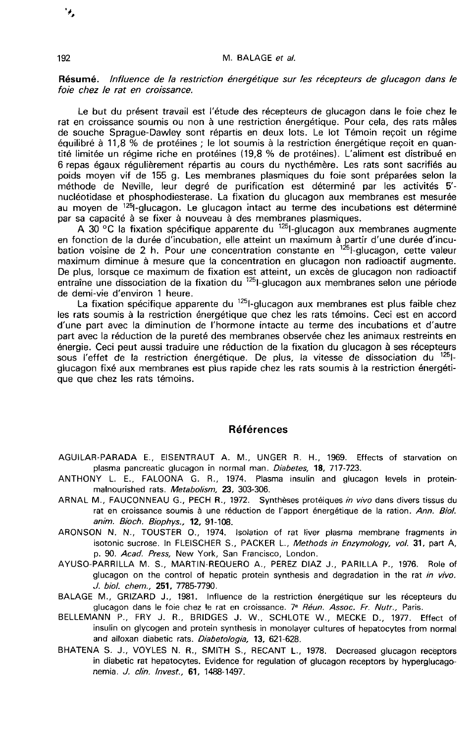#### M. BALAGE et al.

### Résumé. lnfluence de la restriction énergétique sur les récepteurs de glucagon dans le foie chez le rat en croissance.

Le but du présent travail est l'étude des récepteurs de glucagon dans le foie chez le rat en croissance soumis ou non à une restriction énergétique. Pour cela, des rats mâles de souche Sprague-Dawley sont répartis en deux lots. Le lot Témoin reçoit un régime équilibré à 11,8 % de protéines ; le lot soumis à la restriction énergétique reçoit en quantité limitée un régime riche en protéines (19,8 % de protéines). L'aliment est distribué en 6 repas égaux régulièrement répartis au cours du nycthémère. Les rats sont sacrifiés au poids moyen vif de 155 g. Les membranes plasmiques du foie sont préparées selon la méthode de Neville, leur degré de purification est déterminé par les activités 5' nucléotidase et phosphodiesterase. La fixation du glucagon aux membranes est mesurée<br>au moven de <sup>125</sup>l-glucagon. Le glucagon intact au terme des incubations est déterminé équilibré à 11,8 % de protéines ; le lot soumis à la restriction énergétique reçoit en quantité limitée un régime riche en protéines (19,8 % de protéines). L'aliment est distribué en 6 repas égaux régulièrement répartis a par sa capacité à se fixer à nouveau à des membranes plasmiques.

A 30 °C la fixation spécifique apparente du <sup>125</sup>l-glucagon aux membranes augmente en fonction de la durée d'incubation, elle atteint un maximum à partir d'une durée d'incuméthode de Neville, leur degré de purification est déterminé par les activités 5'-<br>nucléotidase et phosphodiesterase. La fixation du glucagon aux membranes est mesurée<br>au moyen de <sup>125</sup>l-glucagon. Le glucagon intact au te maximum diminue à mesure que la concentration en glucagon non radioactif augmente. De plus, lorsque ce maximum de fixation est atteint, un excès de glucagon non radioactif entraîne une dissociation de la fixation du <sup>125</sup>l-glucagon aux membranes selon une période de demi-vie d'environ 1 heure.<br>La fixation spécifique apparente du <sup>125</sup>l-glucagon aux membranes est plus faible chez Duration de la durée d'incubation, elle atteint un maximum à partir d'une durée d'incu-<br>
n voisine de 2 h. Pour une concentration constante en <sup>125</sup>l-glucagon, cette valeur<br>
mum diminue à mesure que la concentration en gl

les rats soumis à la restriction énergétique que chez les rats témoins. Ceci est en accord d'une part avec la diminution de l'hormone intacte au terme des incubations et d'autre part avec la réduction de la pureté des membranes observée chez les animaux restreints en<br>énergie. Ceci peut aussi traduire une réduction de la fixation du glucagon à ses récepteurs sous l'effet de la restriction énergétique. De plus, la vitesse de dissociation du <sup>125</sup>1glucagon fixé aux membranes est plus rapide chez les rats soumis à la restriction énergétique que chez les rats témoins.

#### Références

- AGUILAR-PARADA E., EISENTRAUT A. M., UNGER R. H., 1969. Effects of starvation on plasma pancreatic glucagon in normal man. Diabetes, 18, 717-723.
- ANTHONY L. E., FALOONA G. R., 1974. Plasma insulin and glucagon levels in proteinmalnourished rats. Metabolism, 23, 303-306.
- ARNAL M., FAUCONNEAU G., PECH R., 1972. Synthèses protéiques in vivo dans divers tissus du rat en croissance soumis à une réduction de l'apport énergétique de la ration. Ann. Biol. anim. Bioch. Biophys., 12, 91-108.
- ARONSON N. N., TOUSTER 0., 1974. Isolation of rat liver plasma membrane fragments in isotonic sucrose. In FLEISCHER S., PACKER L., Methods in Enzymology, vol. 31, part A, p. 90. Acad. Press, New York, San Francisco, London.
- AYUSO-PARRILLA M. S., MARTIN-REQUERO A., PEREZ DIAZ J., PARILLA P., 1976. Role of glucagon on the control of hepatic protein synthesis and degradation in the rat in vivo. J. biol. chem., 251, 7785-7790.
- BALAGE M., GRIZARD J., 1981. Influence de la restriction énergétique sur les récepteurs du glucagon dans le foie chez le rat en croissance. 7<sup>e</sup> Réun. Assoc. Fr. Nutr., Paris.
- BELLEMANN P., FRY J. R., BRIDGES J. W., SCHLOTE W., MECKE D., 1977. Effect of insulin on glycogen and protein synthesis in monolayer cultures of hepatocytes from normal and alloxan diabetic rats. Diabetologia, 13, 621-628.
- BHATENA S. J., VOYLES N. R., SMITH S., RECANT L., 1978. Decreased glucagon receptors in diabetic rat hepatocytes. Evidence for regulation of glucagon receptors by hyperglucagonemia. J. clin. Invest., 61, 1488-1497.

٠,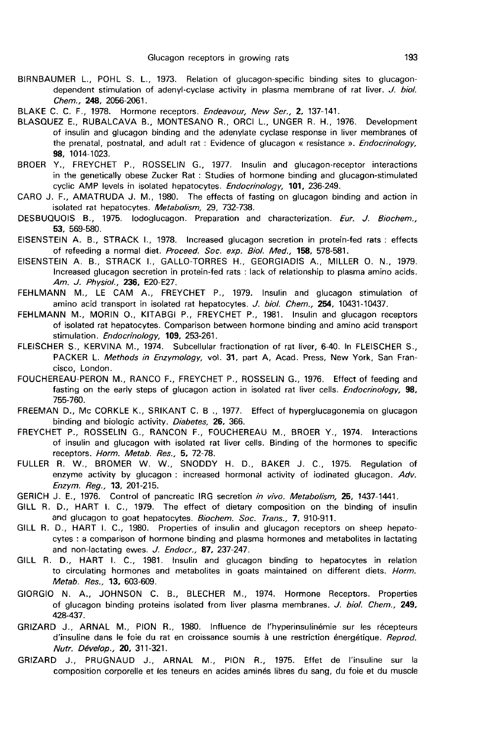- BIRNBAUMER L., POHL S. L., 1973. Relation of glucagon-specific binding sites to glucagondependent stimulation of adenyl-cyclase activity in plasma membrane of rat liver. J. biol. Chem., 248, 2056-2061.
- BLAKE C. C. F., 1978. Hormone receptors. Endeavour, New Ser., 2, 137-141.
- BLASQUEZ E., RUBALCAVA B., MONTESANO R., ORCI L., UNGER R. H., 1976. Development of insulin and glucagon binding and the adenylate cyclase response in liver membranes of the prenatal, postnatal, and adult rat : Evidence of glucagon « resistance ». Endocrinology, 98, 1014-1023.
- BROER Y., FREYCHET P., ROSSELIN G., 1977. Insulin and glucagon-receptor interactions in the genetically obese Zucker Rat : Studies of hormone binding and glucagon-stimulated cyclic AMP levels in isolated hepatocytes. Endocrinology, 101, 236-249.
- CARO J. F., AMATRUDA J. M., 1980. The effects of fasting on glucagon binding and action in isolated rat hepatocytes. Metabolism, 29, 732-738.
- DESBUQUOIS B., 1975. lodoglucagon. Preparation and characterization. Eur. J. Biochem., 53, 569-580.
- EISENSTEIN A. B., STRACK 1., 1978. Increased glucagon secretion in protein-fed rats : effects of refeeding a normal diet. Proceed. Soc. exp. Biol. Med., 158, 578-581.
- EISENSTEIN A. B., STRACK I., GALLO-TORRES H., GEORGIADIS A., MILLER 0. N., 1979. Increased glucagon secretion in protein-fed rats : lack of relationship to plasma amino acids. Am. J. Physiol., 236, E20-E27.
- FEHLMANN M., LE CAM A., FREYCHET P., 1979. Insulin and glucagon stimulation of amino acid transport in isolated rat hepatocytes. J. biol. Chem., 254, 10431-10437.
- FEHLMANN M., MORIN 0., KITABGI P., FREYCHET P., 1981. Insulin and glucagon receptors of isolated rat hepatocytes. Comparison between hormone binding and amino acid transport stimulation. Endocrinology, 109, 253-261.
- FLEISCHER S., KERVINA M., 1974. Subcellular fractionation of rat liver, 6-40. In FLEISCHER S., PACKER L. Methods in Enzymology, vol. 31, part A. Acad. Press, New York, San Francisco, London.
- FOUCHEREAU-PERON M., RANCO F., FREYCHET P., ROSSELIN G., 1976. Effect of feeding and fasting on the early steps of glucagon action in isolated rat liver cells. *Endocrinology*, 98, 755-760.
- FREEMAN D., Mc CORKLE K., SRIKANT C. B ., 1977. Effect of hyperglucagonemia on glucagon binding and biologic activity. Diabetes, 26, 366.
- FREYCHET P., ROSSELIN G., RANCON F., FOUCHEREAU M., BROER Y., 1974. Interactions of insulin and glucagon with isolated rat liver cells. Binding of the hormones to specific receptors. Horm. Metab. Res., 5, 72-78.
- FULLER R. W., BROMER W. W., SNODDY H. D., BAKER J. C., 1975. Regulation of enzyme activity by glucagon : increased hormonal activity of iodinated glucagon. Adv. Enzym. Reg., 13, 201-215.
- GERICH J. E., 1976. Control of pancreatic IRG secretion in vivo. Metabolism, 25, 1437-1441.
- GILL R. D., HART I. C., 1979. The effect of dietary composition on the binding of insulin and glucagon to goat hepatocytes. Biochem. Soc. Trans., 7, 910-911.
- GILL R. D., HART I. C., 1980. Properties of insulin and glucagon receptors on sheep hepatocytes : a comparison of hormone binding and plasma hormones and metabolites in lactating and non-lactating ewes. J. Endocr., 87, 237-247.
- GILL R. D., HART 1. C., 1981. Insulin and glucagon binding to hepatocytes in relation to circulating hormones and metabolites in goats maintained on different diets. Horm. Metab. Res., 13, 603-609.
- GIORGIO N. A., JOHNSON C. B., BLECHER M., 1974. Hormone Receptors. Properties of glucagon binding proteins isolated from liver plasma membranes. J. biol. Chem., 249, 428-437.
- GRIZARD J., ARNAL M., PION R., 1980. Influence de l'hyperinsulinémie sur les récepteurs d'insuline dans le foie du rat en croissance soumis à une restriction énergétique. Reprod. Nutr. Dévelop., 20, 311-321.
- GRIZARD J., PRUGNAUD J., ARNAL M., PION R., 1975. Effet de l'insuline sur la composition corporelle et les teneurs en acides aminés libres du sang, du foie et du muscle